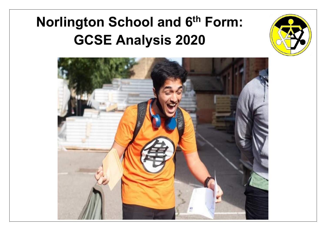# **Norlington School and 6th Form: GCSE Analysis 2020**



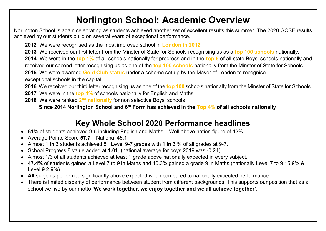## **Norlington School: Academic Overview**

Norlington School is again celebrating as students achieved another set of excellent results this summer. The 2020 GCSE results achieved by our students build on several years of exceptional performance.

**2012** We were recognised as the most improved school in **London in 2012**.

**2013** We received our first letter from the Minster of State for Schools recognising us as a **top 100 schools** nationally. **2014** We were in the **top 1%** of all schools nationally for progress and in the **top 5** of all state Boys' schools nationally and received our second letter recognising us as one of the **top 100 schools** nationally from the Minster of State for Schools.

**2015** We were awarded **Gold Club status** under a scheme set up by the Mayor of London to recognise

exceptional schools in the capital.

**2016** We received our third letter recognising us as one of the **top 100** schools nationally from the Minster of State for Schools.

**2017** We were in the **top 4%** of schools nationally for English and Maths

**2018** We were ranked 2<sup>nd</sup> nationally for non selective Boys' schools

**Since 2014 Norlington School and 6th Form has achieved in the Top 4% of all schools nationally**

#### **Key Whole School 2020 Performance headlines**

- **61%** of students achieved 9-5 including English and Maths Well above nation figure of 42%
- Average Pointe Score **57.7** National 45.1
- Almost **1 in 3** students achieved 5+ Level 9-7 grades with **1 in 3** % of all grades at 9-7.
- School Progress 8 value added at **1.01**, (national average for boys 2019 was -0.24)
- Almost 1/3 of all students achieved at least 1 grade above nationally expected in every subject.
- **47.4%** of students gained a Level 7 to 9 in Maths and 10.3% gained a grade 9 in Maths (nationally Level 7 to 9 15.9% & Level 9 2.9%)
- **All** subjects performed significantly above expected when compared to nationally expected performance
- There is limited disparity of performance between student from different backgrounds. This supports our position that as a school we live by our motto **'We work together, we enjoy together and we all achieve together'**.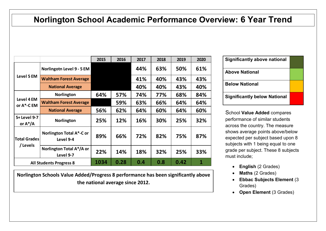#### **Norlington School Academic Performance Overview: 6 Year Trend**

|                                 |                                              | 2015 | 2016 | 2017 | 2018 | 2019 | 2020 |
|---------------------------------|----------------------------------------------|------|------|------|------|------|------|
| Level 5 EM                      | Norlingotn Level 9 - 5 EM                    |      |      | 44%  | 63%  | 50%  | 61%  |
|                                 | <b>Waltham Forest Average</b>                |      |      | 41%  | 40%  | 43%  | 43%  |
|                                 | <b>National Average</b>                      |      |      | 40%  | 40%  | 43%  | 40%  |
| Level 4 EM<br>or A*-C EM        | Norlington                                   | 64%  | 57%  | 74%  | 77%  | 68%  | 84%  |
|                                 | <b>Waltham Forest Average</b>                |      | 59%  | 63%  | 66%  | 64%  | 64%  |
|                                 | <b>National Average</b>                      | 56%  | 62%  | 64%  | 60%  | 64%  | 60%  |
| 5+ Level 9-7<br>or $A^*/A$      | Norlington                                   | 25%  | 12%  | 16%  | 30%  | 25%  | 32%  |
| <b>Total Grades</b><br>/ Levels | <b>Norlington Total A*-C or</b><br>Level 9-4 | 89%  | 66%  | 72%  | 82%  | 75%  | 87%  |
|                                 | Norlington Total A*/A or<br>Level 9-7        | 22%  | 14%  | 18%  | 32%  | 25%  | 33%  |
| <b>All Students Progress 8</b>  |                                              | 1034 | 0.28 | 0.4  | 0.8  | 0.42 | 1    |

**Norlington Schools Value Added/Progress 8 performance has been significantly above the national average since 2012.**

| <b>Significantly above national</b> |  |
|-------------------------------------|--|
| <b>Above National</b>               |  |
| <b>Below National</b>               |  |
| <b>Significantly below National</b> |  |

School **Value Added** compares performance of similar students across the country. The measure shows average points above/below expected per subject based upon 8 subjects with 1 being equal to one grade per subject. These 8 subjects must include;

- **English** (2 Grades)
- **Maths** (2 Grades)
- **Ebbac Subjects Element** (3 Grades)
- **Open Element** (3 Grades)